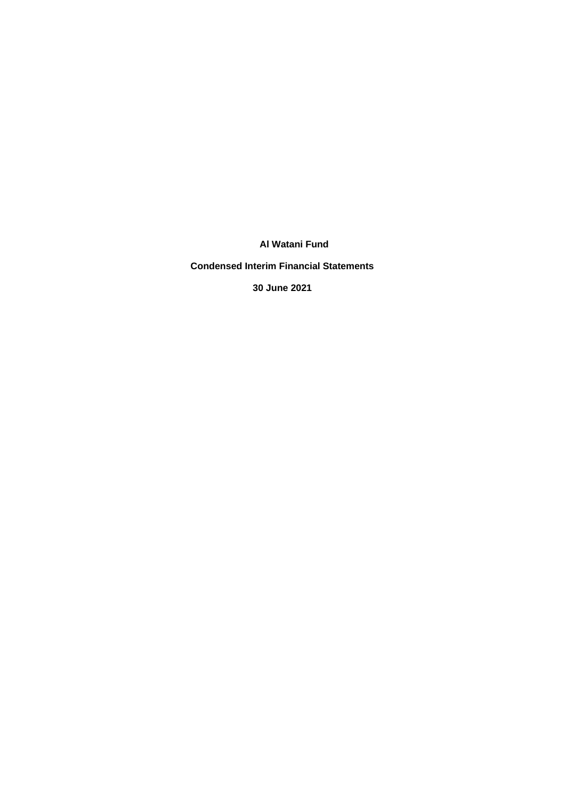**Condensed Interim Financial Statements**

**30 June 2021**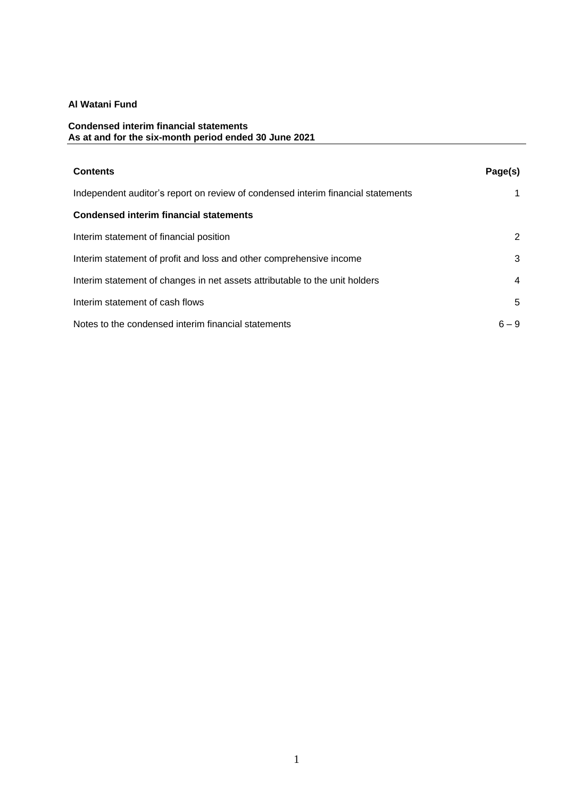## **Condensed interim financial statements As at and for the six-month period ended 30 June 2021**

| <b>Contents</b>                                                                  | Page(s) |
|----------------------------------------------------------------------------------|---------|
| Independent auditor's report on review of condensed interim financial statements |         |
| <b>Condensed interim financial statements</b>                                    |         |
| Interim statement of financial position                                          | 2       |
| Interim statement of profit and loss and other comprehensive income              | 3       |
| Interim statement of changes in net assets attributable to the unit holders      | 4       |
| Interim statement of cash flows                                                  | 5       |
| Notes to the condensed interim financial statements                              | $6 - 9$ |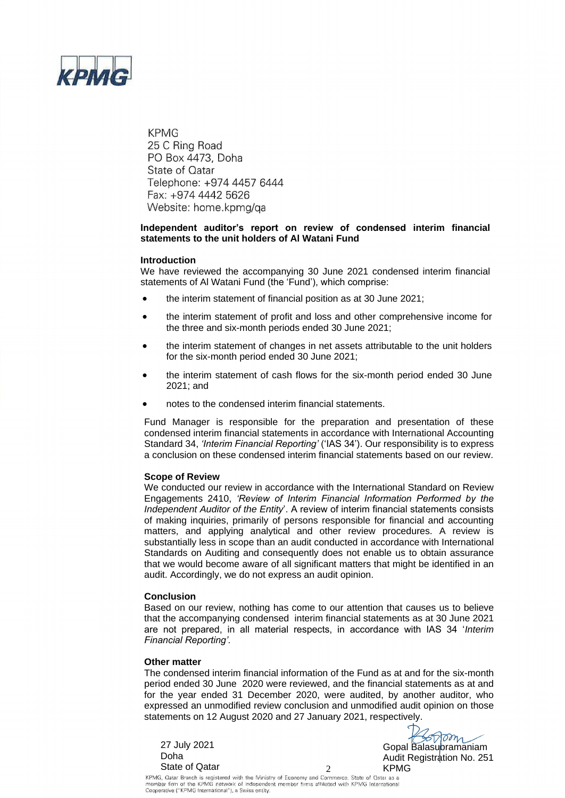

**KPMG** 25 C Ring Road PO Box 4473, Doha State of Qatar Telephone: +974 4457 6444 Fax: +974 4442 5626 Website: home.kpmg/ga

## **Independent auditor's report on review of condensed interim financial statements to the unit holders of Al Watani Fund**

### **Introduction**

We have reviewed the accompanying 30 June 2021 condensed interim financial statements of Al Watani Fund (the 'Fund'), which comprise:

- the interim statement of financial position as at 30 June 2021;
- the interim statement of profit and loss and other comprehensive income for the three and six-month periods ended 30 June 2021;
- the interim statement of changes in net assets attributable to the unit holders for the six-month period ended 30 June 2021;
- the interim statement of cash flows for the six-month period ended 30 June 2021; and
- notes to the condensed interim financial statements.

Fund Manager is responsible for the preparation and presentation of these condensed interim financial statements in accordance with International Accounting Standard 34, *'Interim Financial Reporting'* ('IAS 34'). Our responsibility is to express a conclusion on these condensed interim financial statements based on our review.

### **Scope of Review**

We conducted our review in accordance with the International Standard on Review Engagements 2410, *'Review of Interim Financial Information Performed by the Independent Auditor of the Entity*'. A review of interim financial statements consists of making inquiries, primarily of persons responsible for financial and accounting matters, and applying analytical and other review procedures. A review is substantially less in scope than an audit conducted in accordance with International Standards on Auditing and consequently does not enable us to obtain assurance that we would become aware of all significant matters that might be identified in an audit. Accordingly, we do not express an audit opinion.

#### **Conclusion**

Based on our review, nothing has come to our attention that causes us to believe that the accompanying condensed interim financial statements as at 30 June 2021 are not prepared, in all material respects, in accordance with IAS 34 '*Interim Financial Reporting'.* 

#### **Other matter**

The condensed interim financial information of the Fund as at and for the six-month period ended 30 June 2020 were reviewed, and the financial statements as at and for the year ended 31 December 2020, were audited, by another auditor, who expressed an unmodified review conclusion and unmodified audit opinion on those statements on 12 August 2020 and 27 January 2021, respectively.

State of Qatar  $\begin{array}{ccc} & 2 & \text{KPMG} \end{array}$ 

27 July 2021 **Contract Contract Contract Contract Contract Contract Contract Contract Contract Contract Contract Contract Contract Contract Contract Contract Contract Contract Contract Contract Contract Contract Contract C** Audit Registration No. 251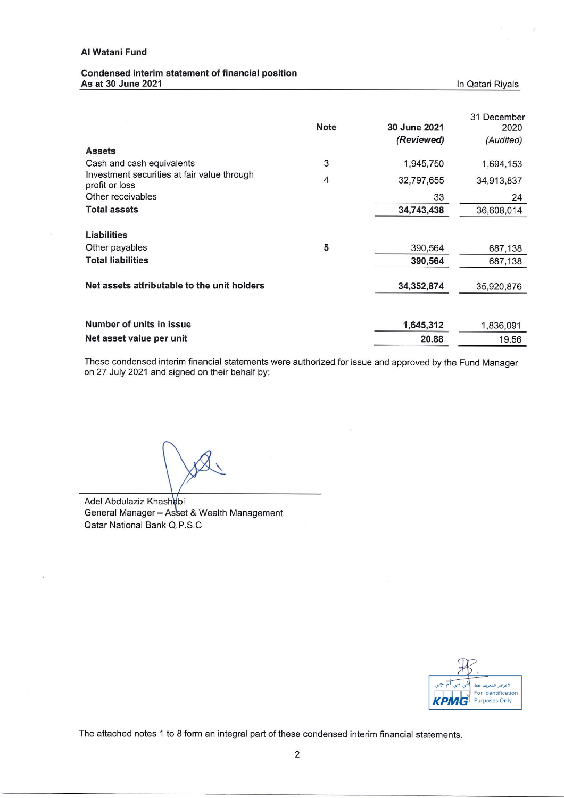### Condensed interim statement of financial position As at 30 June 2021

|                                                               | <b>Note</b>    | 30 June 2021<br>(Reviewed) | 31 December<br>2020<br>(Audited) |
|---------------------------------------------------------------|----------------|----------------------------|----------------------------------|
| <b>Assets</b>                                                 |                |                            |                                  |
| Cash and cash equivalents                                     | 3              | 1,945,750                  | 1,694,153                        |
| Investment securities at fair value through<br>profit or loss | $\overline{4}$ | 32,797,655                 | 34,913,837                       |
| Other receivables                                             |                | 33                         | 24                               |
| <b>Total assets</b>                                           |                | 34,743,438                 | 36,608,014                       |
| <b>Liabilities</b>                                            |                |                            |                                  |
| Other payables                                                | 5              | 390,564                    | 687,138                          |
| <b>Total liabilities</b>                                      |                | 390,564                    | 687,138                          |
| Net assets attributable to the unit holders                   |                | 34,352,874                 | 35,920,876                       |
| Number of units in issue                                      |                |                            |                                  |
|                                                               |                | 1,645,312                  | 1,836,091                        |
| Net asset value per unit                                      |                | 20.88                      | 19.56                            |

These condensed interim financial statements were authorized for issue and approved by the Fund Manager on 27 July 2021 and signed on their behalf by:

Adel Abdulaziz Khashabi General Manager - Asset & Wealth Management Qatar National Bank Q.P.S.C



In Qatari Riyals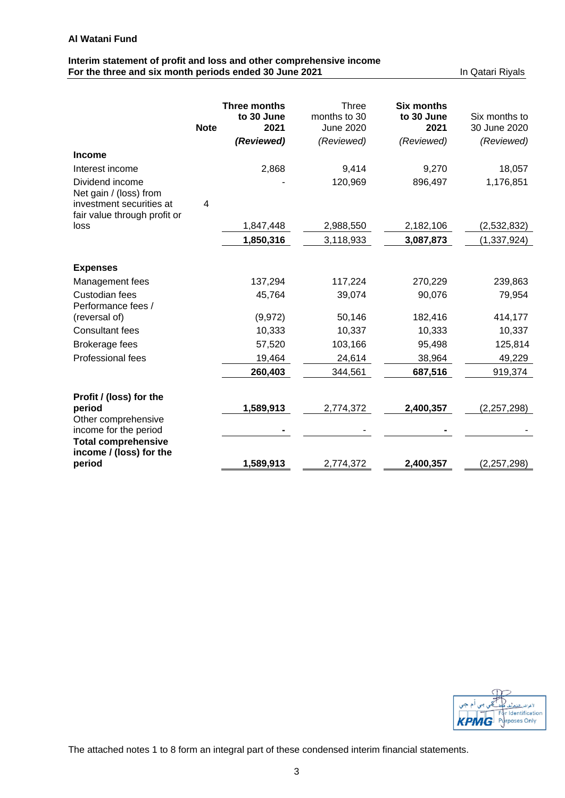# **Interim statement of profit and loss and other comprehensive income For the three and six month periods ended 30 June 2021** In Qatari Riyals

|                                                          |             | <b>Three months</b><br>to 30 June | Three<br>months to 30 | <b>Six months</b><br>to 30 June | Six months to |
|----------------------------------------------------------|-------------|-----------------------------------|-----------------------|---------------------------------|---------------|
|                                                          | <b>Note</b> | 2021                              | June 2020             | 2021                            | 30 June 2020  |
|                                                          |             | (Reviewed)                        | (Reviewed)            | (Reviewed)                      | (Reviewed)    |
| <b>Income</b>                                            |             |                                   |                       |                                 |               |
| Interest income                                          |             | 2,868                             | 9,414                 | 9,270                           | 18,057        |
| Dividend income<br>Net gain / (loss) from                |             |                                   | 120,969               | 896,497                         | 1,176,851     |
| investment securities at<br>fair value through profit or | 4           |                                   |                       |                                 |               |
| loss                                                     |             | 1,847,448                         | 2,988,550             | 2,182,106                       | (2,532,832)   |
|                                                          |             | 1,850,316                         | 3,118,933             | 3,087,873                       | (1, 337, 924) |
| <b>Expenses</b>                                          |             |                                   |                       |                                 |               |
| Management fees                                          |             | 137,294                           | 117,224               | 270,229                         | 239,863       |
| <b>Custodian fees</b>                                    |             | 45,764                            | 39,074                | 90,076                          | 79,954        |
| Performance fees /                                       |             |                                   |                       |                                 |               |
| (reversal of)                                            |             | (9,972)                           | 50,146                | 182,416                         | 414,177       |
| <b>Consultant fees</b>                                   |             | 10,333                            | 10,337                | 10,333                          | 10,337        |
| <b>Brokerage fees</b>                                    |             | 57,520                            | 103,166               | 95,498                          | 125,814       |
| <b>Professional fees</b>                                 |             | 19,464                            | 24,614                | 38,964                          | 49,229        |
|                                                          |             | 260,403                           | 344,561               | 687,516                         | 919,374       |
| Profit / (loss) for the                                  |             |                                   |                       |                                 |               |
| period                                                   |             | 1,589,913                         | 2,774,372             | 2,400,357                       | (2, 257, 298) |
| Other comprehensive<br>income for the period             |             |                                   |                       |                                 |               |
| <b>Total comprehensive</b><br>income / (loss) for the    |             |                                   |                       |                                 |               |
| period                                                   |             | 1,589,913                         | 2,774,372             | 2,400,357                       | (2, 257, 298) |

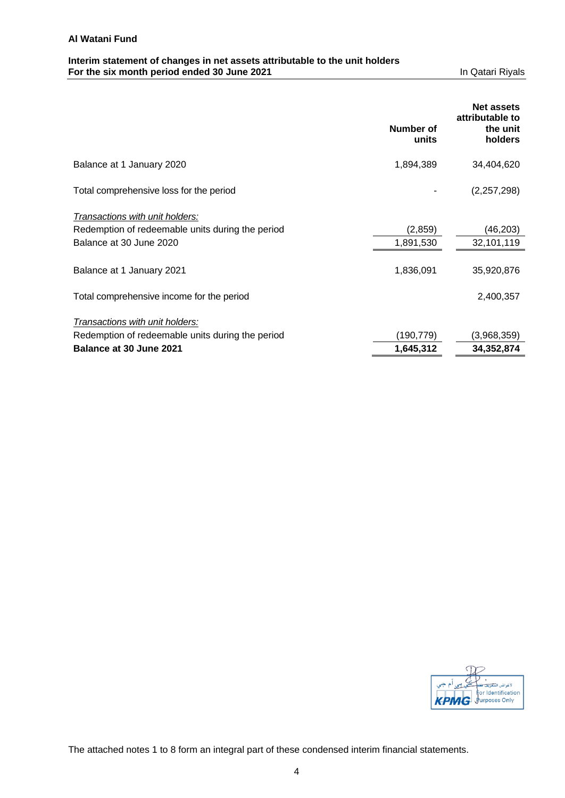# **Interim statement of changes in net assets attributable to the unit holders For the six month period ended 30 June 2021** In Qatari Riyals

|                                                  |                    | <b>Net assets</b><br>attributable to |
|--------------------------------------------------|--------------------|--------------------------------------|
|                                                  | Number of<br>units | the unit<br>holders                  |
| Balance at 1 January 2020                        | 1,894,389          | 34,404,620                           |
| Total comprehensive loss for the period          |                    | (2, 257, 298)                        |
| Transactions with unit holders:                  |                    |                                      |
| Redemption of redeemable units during the period | (2, 859)           | (46,203)                             |
| Balance at 30 June 2020                          | 1,891,530          | 32,101,119                           |
| Balance at 1 January 2021                        | 1,836,091          | 35,920,876                           |
| Total comprehensive income for the period        |                    | 2,400,357                            |
| Transactions with unit holders:                  |                    |                                      |
| Redemption of redeemable units during the period | (190,779)          | (3,968,359)                          |
| Balance at 30 June 2021                          | 1,645,312          | 34,352,874                           |

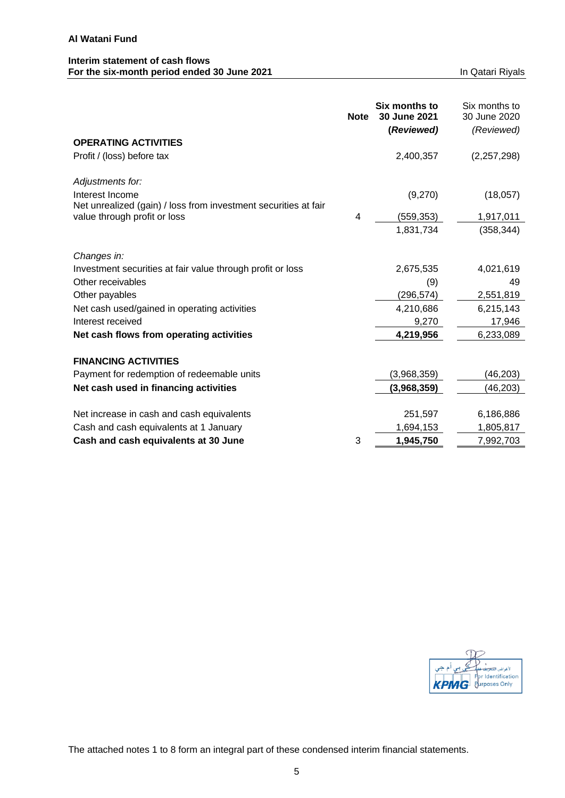## **Interim statement of cash flows For the six-month period ended 30 June 2021 In Qatari Riyals** In Qatari Riyals

|                                                                                                 | <b>Note</b> | Six months to<br>30 June 2021<br>(Reviewed) | Six months to<br>30 June 2020<br>(Reviewed) |
|-------------------------------------------------------------------------------------------------|-------------|---------------------------------------------|---------------------------------------------|
| <b>OPERATING ACTIVITIES</b>                                                                     |             |                                             |                                             |
| Profit / (loss) before tax                                                                      |             | 2,400,357                                   | (2,257,298)                                 |
| Adjustments for:                                                                                |             |                                             |                                             |
| Interest Income                                                                                 |             | (9,270)                                     | (18,057)                                    |
| Net unrealized (gain) / loss from investment securities at fair<br>value through profit or loss | 4           | (559, 353)                                  | 1,917,011                                   |
|                                                                                                 |             | 1,831,734                                   | (358, 344)                                  |
| Changes in:                                                                                     |             |                                             |                                             |
| Investment securities at fair value through profit or loss                                      |             | 2,675,535                                   | 4,021,619                                   |
| Other receivables                                                                               |             | (9)                                         | 49                                          |
| Other payables                                                                                  |             | (296, 574)                                  | 2,551,819                                   |
| Net cash used/gained in operating activities                                                    |             | 4,210,686                                   | 6,215,143                                   |
| Interest received                                                                               |             | 9,270                                       | 17,946                                      |
| Net cash flows from operating activities                                                        |             | 4,219,956                                   | 6,233,089                                   |
| <b>FINANCING ACTIVITIES</b>                                                                     |             |                                             |                                             |
| Payment for redemption of redeemable units                                                      |             | (3,968,359)                                 | (46, 203)                                   |
| Net cash used in financing activities                                                           |             | (3,968,359)                                 | (46, 203)                                   |
|                                                                                                 |             |                                             |                                             |
| Net increase in cash and cash equivalents                                                       |             | 251,597                                     | 6,186,886                                   |
| Cash and cash equivalents at 1 January                                                          |             | 1,694,153                                   | 1,805,817                                   |
| Cash and cash equivalents at 30 June                                                            | 3           | 1,945,750                                   | 7,992,703                                   |

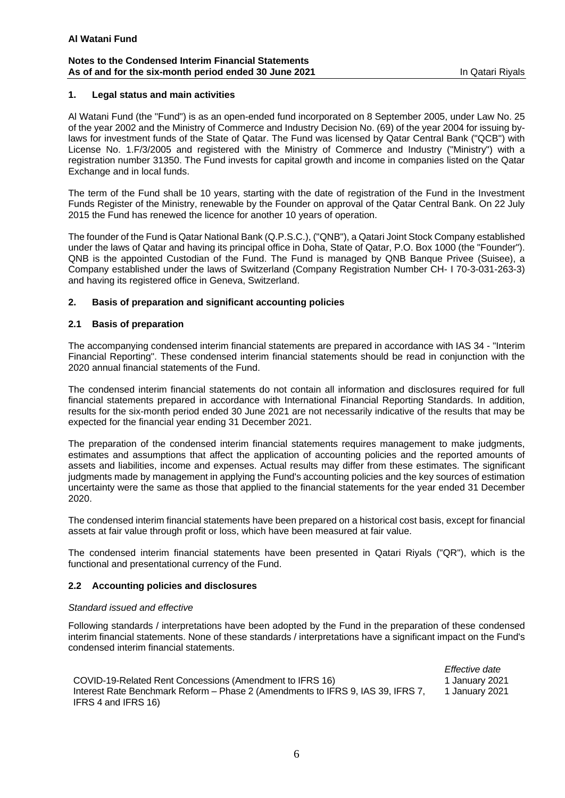### **Notes to the Condensed Interim Financial Statements As of and for the six-month period ended 30 June 2021 In Qatari Rivals** In Qatari Riyals

## **1. Legal status and main activities**

Al Watani Fund (the "Fund") is as an open-ended fund incorporated on 8 September 2005, under Law No. 25 of the year 2002 and the Ministry of Commerce and Industry Decision No. (69) of the year 2004 for issuing bylaws for investment funds of the State of Qatar. The Fund was licensed by Qatar Central Bank ("QCB'') with License No. 1.F/3/2005 and registered with the Ministry of Commerce and Industry ("Ministry") with a registration number 31350. The Fund invests for capital growth and income in companies listed on the Qatar Exchange and in local funds.

The term of the Fund shall be 10 years, starting with the date of registration of the Fund in the Investment Funds Register of the Ministry, renewable by the Founder on approval of the Qatar Central Bank. On 22 July 2015 the Fund has renewed the licence for another 10 years of operation.

The founder of the Fund is Qatar National Bank (Q.P.S.C.), ("QNB"), a Qatari Joint Stock Company established under the laws of Qatar and having its principal office in Doha, State of Qatar, P.O. Box 1000 (the "Founder"). QNB is the appointed Custodian of the Fund. The Fund is managed by QNB Banque Privee (Suisee), a Company established under the laws of Switzerland (Company Registration Number CH- I 70-3-031-263-3) and having its registered office in Geneva, Switzerland.

### **2. Basis of preparation and significant accounting policies**

### **2.1 Basis of preparation**

The accompanying condensed interim financial statements are prepared in accordance with IAS 34 - "Interim Financial Reporting". These condensed interim financial statements should be read in conjunction with the 2020 annual financial statements of the Fund.

The condensed interim financial statements do not contain all information and disclosures required for full financial statements prepared in accordance with International Financial Reporting Standards. In addition, results for the six-month period ended 30 June 2021 are not necessarily indicative of the results that may be expected for the financial year ending 31 December 2021.

The preparation of the condensed interim financial statements requires management to make judgments, estimates and assumptions that affect the application of accounting policies and the reported amounts of assets and liabilities, income and expenses. Actual results may differ from these estimates. The significant judgments made by management in applying the Fund's accounting policies and the key sources of estimation uncertainty were the same as those that applied to the financial statements for the year ended 31 December 2020.

The condensed interim financial statements have been prepared on a historical cost basis, except for financial assets at fair value through profit or loss, which have been measured at fair value.

The condensed interim financial statements have been presented in Qatari Riyals ("QR"), which is the functional and presentational currency of the Fund.

## **2.2 Accounting policies and disclosures**

### *Standard issued and effective*

Following standards / interpretations have been adopted by the Fund in the preparation of these condensed interim financial statements. None of these standards / interpretations have a significant impact on the Fund's condensed interim financial statements.

*Effective date*  COVID-19-Related Rent Concessions (Amendment to IFRS 16) 1 January 2021 Interest Rate Benchmark Reform – Phase 2 (Amendments to IFRS 9, IAS 39, IFRS 7, IFRS 4 and IFRS 16) 1 January 2021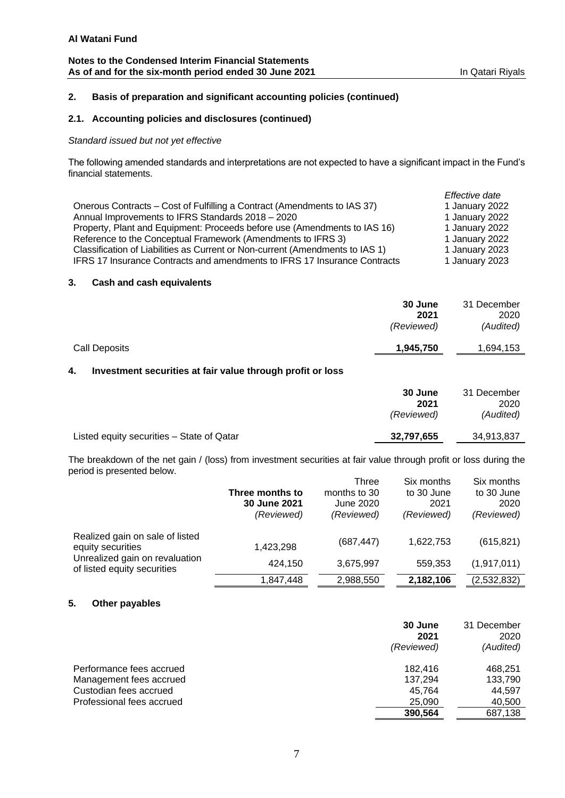## **Notes to the Condensed Interim Financial Statements** As of and for the six-month period ended 30 June 2021 **In Qatari Riyals** In Qatari Riyals

# **2. Basis of preparation and significant accounting policies (continued)**

# **2.1. Accounting policies and disclosures (continued)**

# *Standard issued but not yet effective*

The following amended standards and interpretations are not expected to have a significant impact in the Fund's financial statements.

|                                                                                  | Effective date |
|----------------------------------------------------------------------------------|----------------|
| Onerous Contracts – Cost of Fulfilling a Contract (Amendments to IAS 37)         | 1 January 2022 |
| Annual Improvements to IFRS Standards 2018 - 2020                                | 1 January 2022 |
| Property, Plant and Equipment: Proceeds before use (Amendments to IAS 16)        | 1 January 2022 |
| Reference to the Conceptual Framework (Amendments to IFRS 3)                     | 1 January 2022 |
| Classification of Liabilities as Current or Non-current (Amendments to IAS 1)    | 1 January 2023 |
| <b>IFRS 17 Insurance Contracts and amendments to IFRS 17 Insurance Contracts</b> | 1 January 2023 |

# **3. Cash and cash equivalents**

|                      | 30 June<br>2021<br>(Reviewed) | 31 December<br>2020<br>(Audited) |
|----------------------|-------------------------------|----------------------------------|
| <b>Call Deposits</b> | 1,945,750                     | 1,694,153                        |

# **4. Investment securities at fair value through profit or loss**

|                                           | 30 June<br>2021<br>(Reviewed) | 31 December<br>2020<br>(Audited) |
|-------------------------------------------|-------------------------------|----------------------------------|
| Listed equity securities - State of Qatar | 32,797,655                    | 34,913,837                       |

The breakdown of the net gain / (loss) from investment securities at fair value through profit or loss during the period is presented below.

|                                                               |                 | <b>Three</b> | Six months | Six months  |
|---------------------------------------------------------------|-----------------|--------------|------------|-------------|
|                                                               | Three months to | months to 30 | to 30 June | to 30 June  |
|                                                               | 30 June 2021    | June 2020    | 2021       | 2020        |
|                                                               | (Reviewed)      | (Reviewed)   | (Reviewed) | (Reviewed)  |
| Realized gain on sale of listed                               |                 |              |            |             |
| equity securities                                             | 1,423,298       | (687, 447)   | 1,622,753  | (615, 821)  |
| Unrealized gain on revaluation<br>of listed equity securities | 424,150         | 3,675,997    | 559.353    | (1,917,011) |
|                                                               | 1,847,448       | 2,988,550    | 2,182,106  | (2,532,832) |

# **5. Other payables**

|                           | 30 June<br>2021<br>(Reviewed) | 31 December<br>2020<br>(Audited) |
|---------------------------|-------------------------------|----------------------------------|
| Performance fees accrued  | 182.416                       | 468.251                          |
| Management fees accrued   | 137,294                       | 133,790                          |
| Custodian fees accrued    | 45.764                        | 44.597                           |
| Professional fees accrued | 25,090                        | 40,500                           |
|                           | 390,564                       | 687,138                          |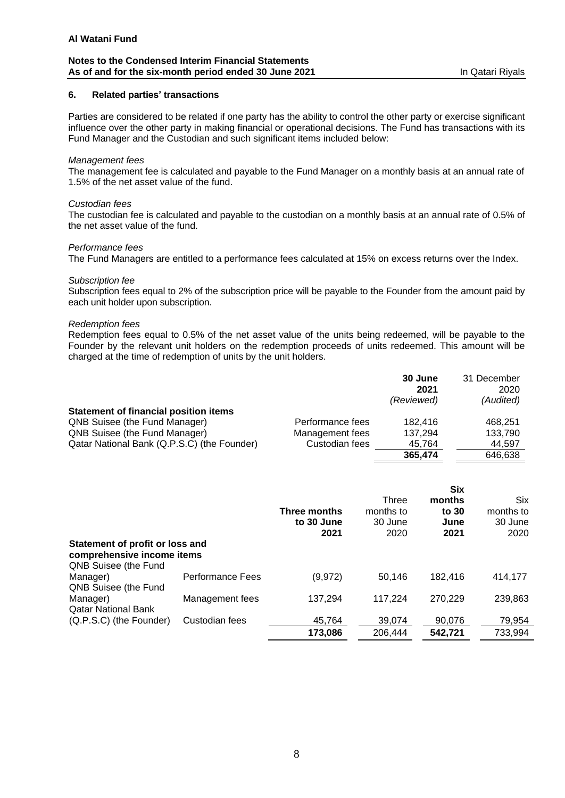### **Notes to the Condensed Interim Financial Statements** As of and for the six-month period ended 30 June 2021 **In Qatari Rivals** In Qatari Riyals

## **6. Related parties' transactions**

Parties are considered to be related if one party has the ability to control the other party or exercise significant influence over the other party in making financial or operational decisions. The Fund has transactions with its Fund Manager and the Custodian and such significant items included below:

### *Management fees*

The management fee is calculated and payable to the Fund Manager on a monthly basis at an annual rate of 1.5% of the net asset value of the fund.

### *Custodian fees*

The custodian fee is calculated and payable to the custodian on a monthly basis at an annual rate of 0.5% of the net asset value of the fund.

### *Performance fees*

The Fund Managers are entitled to a performance fees calculated at 15% on excess returns over the Index.

### *Subscription fee*

Subscription fees equal to 2% of the subscription price will be payable to the Founder from the amount paid by each unit holder upon subscription.

### *Redemption fees*

Redemption fees equal to 0.5% of the net asset value of the units being redeemed, will be payable to the Founder by the relevant unit holders on the redemption proceeds of units redeemed. This amount will be charged at the time of redemption of units by the unit holders.

|                                              |                  | 30 June<br>2021<br>(Reviewed) | 31 December<br>2020<br>(Audited) |
|----------------------------------------------|------------------|-------------------------------|----------------------------------|
| <b>Statement of financial position items</b> |                  |                               |                                  |
| <b>QNB Suisee (the Fund Manager)</b>         | Performance fees | 182.416                       | 468.251                          |
| QNB Suisee (the Fund Manager)                | Management fees  | 137,294                       | 133,790                          |
| Qatar National Bank (Q.P.S.C) (the Founder)  | Custodian fees   | 45.764                        | 44.597                           |
|                                              |                  | 365,474                       | 646.638                          |

|                                                               |                  | Three months<br>to 30 June<br>2021 | Three<br>months to<br>30 June<br>2020 | <b>Six</b><br>months<br>to 30<br>June<br>2021 | <b>Six</b><br>months to<br>30 June<br>2020 |
|---------------------------------------------------------------|------------------|------------------------------------|---------------------------------------|-----------------------------------------------|--------------------------------------------|
| Statement of profit or loss and<br>comprehensive income items |                  |                                    |                                       |                                               |                                            |
| QNB Suisee (the Fund                                          |                  |                                    |                                       |                                               |                                            |
| Manager)                                                      | Performance Fees | (9, 972)                           | 50,146                                | 182.416                                       | 414.177                                    |
| QNB Suisee (the Fund                                          |                  |                                    |                                       |                                               |                                            |
| Manager)                                                      | Management fees  | 137,294                            | 117,224                               | 270,229                                       | 239,863                                    |
| <b>Qatar National Bank</b><br>(Q.P.S.C) (the Founder)         | Custodian fees   | 45,764                             | 39,074                                | 90,076                                        | 79,954                                     |
|                                                               |                  | 173,086                            | 206,444                               | 542,721                                       | 733,994                                    |